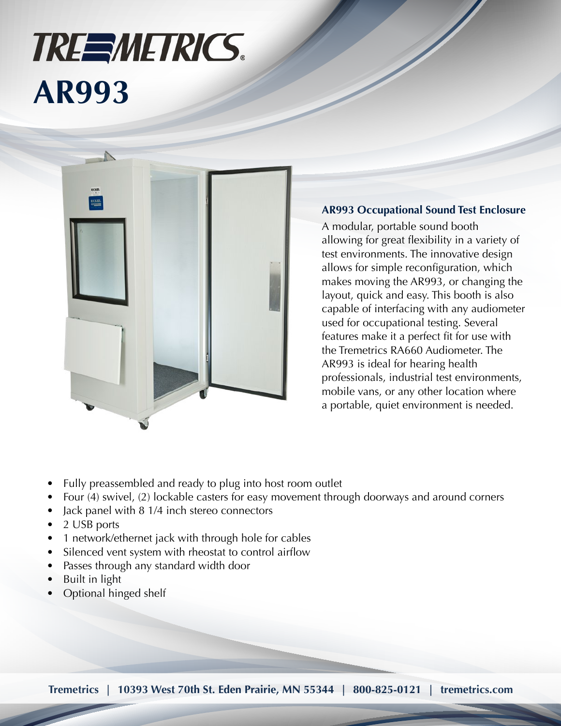## **TREEMETRICS. AR993**



## **AR993 Occupational Sound Test Enclosure**

A modular, portable sound booth allowing for great flexibility in a variety of test environments. The innovative design allows for simple reconfiguration, which makes moving the AR993, or changing the layout, quick and easy. This booth is also capable of interfacing with any audiometer used for occupational testing. Several features make it a perfect fit for use with the Tremetrics RA660 Audiometer. The AR993 is ideal for hearing health professionals, industrial test environments, mobile vans, or any other location where a portable, quiet environment is needed.

- Fully preassembled and ready to plug into host room outlet
- Four (4) swivel, (2) lockable casters for easy movement through doorways and around corners
- Jack panel with 8 1/4 inch stereo connectors
- 2 USB ports
- 1 network/ethernet jack with through hole for cables
- Silenced vent system with rheostat to control airflow
- Passes through any standard width door
- Built in light
- Optional hinged shelf